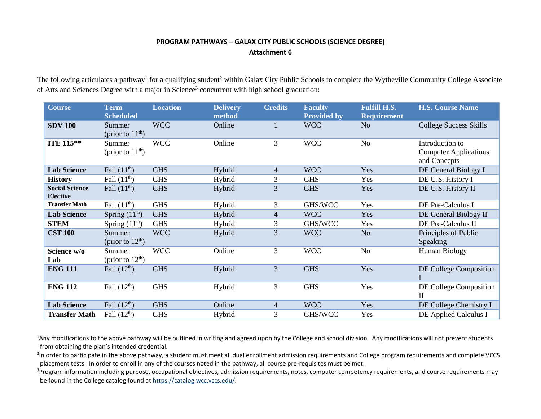## **PROGRAM PATHWAYS – GALAX CITY PUBLIC SCHOOLS (SCIENCE DEGREE) Attachment 6**

The following articulates a pathway<sup>1</sup> for a qualifying student<sup>2</sup> within Galax City Public Schools to complete the Wytheville Community College Associate of Arts and Sciences Degree with a major in Science<sup>3</sup> concurrent with high school graduation:

| <b>Course</b>                            | <b>Term</b><br><b>Scheduled</b> | <b>Location</b> | <b>Delivery</b><br>method | <b>Credits</b> | <b>Faculty</b><br><b>Provided by</b> | <b>Fulfill H.S.</b><br><b>Requirement</b> | <b>H.S. Course Name</b>                                         |
|------------------------------------------|---------------------------------|-----------------|---------------------------|----------------|--------------------------------------|-------------------------------------------|-----------------------------------------------------------------|
| <b>SDV 100</b>                           | Summer<br>(prior to $11th$ )    | <b>WCC</b>      | Online                    | 1              | <b>WCC</b>                           | N <sub>o</sub>                            | <b>College Success Skills</b>                                   |
| ITE 115**                                | Summer<br>(prior to $11th$ )    | <b>WCC</b>      | Online                    | 3              | <b>WCC</b>                           | N <sub>o</sub>                            | Introduction to<br><b>Computer Applications</b><br>and Concepts |
| <b>Lab Science</b>                       | Fall $(11^{\text{th}})$         | <b>GHS</b>      | Hybrid                    | $\overline{4}$ | <b>WCC</b>                           | Yes                                       | DE General Biology I                                            |
| <b>History</b>                           | Fall $(11th)$                   | <b>GHS</b>      | Hybrid                    | 3              | <b>GHS</b>                           | Yes                                       | DE U.S. History I                                               |
| <b>Social Science</b><br><b>Elective</b> | Fall $(11^{\text{th}})$         | <b>GHS</b>      | Hybrid                    | 3              | <b>GHS</b>                           | Yes                                       | DE U.S. History II                                              |
| <b>Transfer Math</b>                     | Fall $(11th)$                   | <b>GHS</b>      | Hybrid                    | 3              | GHS/WCC                              | Yes                                       | DE Pre-Calculus I                                               |
| <b>Lab Science</b>                       | Spring $(11th)$                 | <b>GHS</b>      | Hybrid                    | $\overline{4}$ | <b>WCC</b>                           | Yes                                       | DE General Biology II                                           |
| <b>STEM</b>                              | Spring $(11th)$                 | <b>GHS</b>      | Hybrid                    | 3              | GHS/WCC                              | Yes                                       | DE Pre-Calculus II                                              |
| <b>CST 100</b>                           | Summer<br>(prior to $12th$ )    | <b>WCC</b>      | Hybrid                    | 3              | <b>WCC</b>                           | N <sub>o</sub>                            | Principles of Public<br>Speaking                                |
| Science w/o<br>Lab                       | Summer<br>(prior to $12th$ )    | <b>WCC</b>      | Online                    | 3              | <b>WCC</b>                           | N <sub>o</sub>                            | Human Biology                                                   |
| <b>ENG 111</b>                           | Fall $(12th)$                   | <b>GHS</b>      | Hybrid                    | 3              | <b>GHS</b>                           | Yes                                       | DE College Composition                                          |
| <b>ENG 112</b>                           | Fall $(12th)$                   | <b>GHS</b>      | Hybrid                    | 3              | <b>GHS</b>                           | Yes                                       | DE College Composition<br>$\mathbf{I}$                          |
| <b>Lab Science</b>                       | Fall $(12th)$                   | <b>GHS</b>      | Online                    | $\overline{4}$ | <b>WCC</b>                           | Yes                                       | DE College Chemistry I                                          |
| <b>Transfer Math</b>                     | Fall $(12th)$                   | <b>GHS</b>      | Hybrid                    | 3              | GHS/WCC                              | Yes                                       | DE Applied Calculus I                                           |

<sup>1</sup>Any modifications to the above pathway will be outlined in writing and agreed upon by the College and school division. Any modifications will not prevent students from obtaining the plan's intended credential.

<sup>2</sup>In order to participate in the above pathway, a student must meet all dual enrollment admission requirements and College program requirements and complete VCCS placement tests. In order to enroll in any of the courses noted in the pathway, all course pre-requisites must be met.

<sup>3</sup>Program information including purpose, occupational objectives, admission requirements, notes, computer competency requirements, and course requirements may be found in the College catalog found a[t https://catalog.wcc.vccs.edu/](https://catalog.wcc.vccs.edu/).